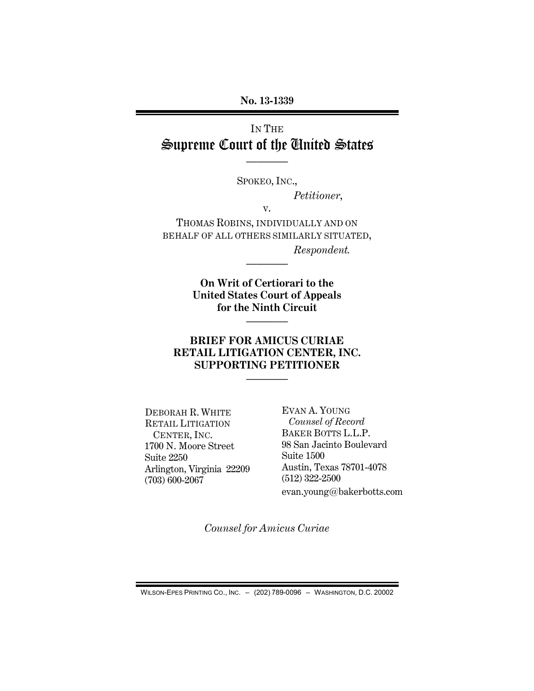**No. 13-1339**

# IN THE Supreme Court of the United States

SPOKEO, INC.,

————

*Petitioner*,

v.

THOMAS ROBINS, INDIVIDUALLY AND ON BEHALF OF ALL OTHERS SIMILARLY SITUATED, *Respondent.*

————

**On Writ of Certiorari to the United States Court of Appeals for the Ninth Circuit**

————

### **BRIEF FOR AMICUS CURIAE RETAIL LITIGATION CENTER, INC. SUPPORTING PETITIONER**

————

DEBORAH R. WHITE RETAIL LITIGATION CENTER, INC. 1700 N. Moore Street Suite 2250 Arlington, Virginia 22209 (703) 600-2067

EVAN A. YOUNG *Counsel of Record* BAKER BOTTS L.L.P. 98 San Jacinto Boulevard Suite 1500 Austin, Texas 78701-4078 (512) 322-2500 evan.young@bakerbotts.com

*Counsel for Amicus Curiae* 

WILSON-EPES PRINTING CO., INC. – (202) 789-0096 – WASHINGTON, D.C. 20002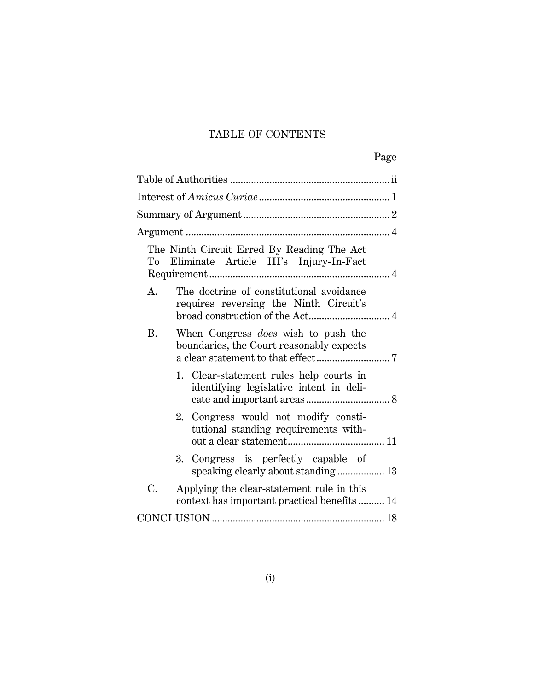## TABLE OF CONTENTS

| The Ninth Circuit Erred By Reading The Act<br>Eliminate Article III's Injury-In-Fact<br>To      |  |
|-------------------------------------------------------------------------------------------------|--|
| The doctrine of constitutional avoidance<br>A.<br>requires reversing the Ninth Circuit's        |  |
| When Congress <i>does</i> wish to push the<br>B.<br>boundaries, the Court reasonably expects    |  |
| 1. Clear-statement rules help courts in<br>identifying legislative intent in deli-              |  |
| 2. Congress would not modify consti-<br>tutional standing requirements with-                    |  |
| 3. Congress is perfectly capable of<br>speaking clearly about standing  13                      |  |
| C.<br>Applying the clear-statement rule in this<br>context has important practical benefits  14 |  |
|                                                                                                 |  |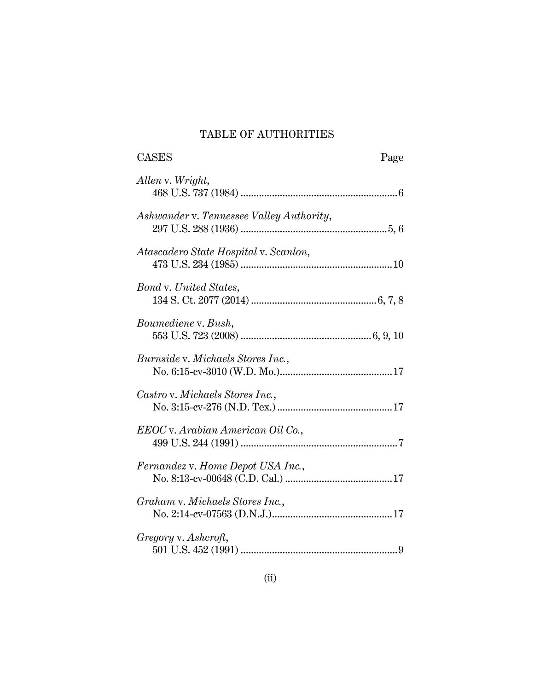## TABLE OF AUTHORITIES

| <b>CASES</b>                             | Page |
|------------------------------------------|------|
| Allen v. Wright,                         |      |
| Ashwander v. Tennessee Valley Authority, |      |
| Atascadero State Hospital v. Scanlon,    |      |
| <b>Bond v. United States,</b>            |      |
| Boumediene v. Bush,                      |      |
| <i>Burnside v. Michaels Stores Inc.,</i> |      |
| Castro v. Michaels Stores Inc.,          |      |
| EEOC v. Arabian American Oil Co.,        |      |
| Fernandez v. Home Depot USA Inc.,        |      |
| Graham v. Michaels Stores Inc.,          |      |
| Gregory v. Ashcroft,                     |      |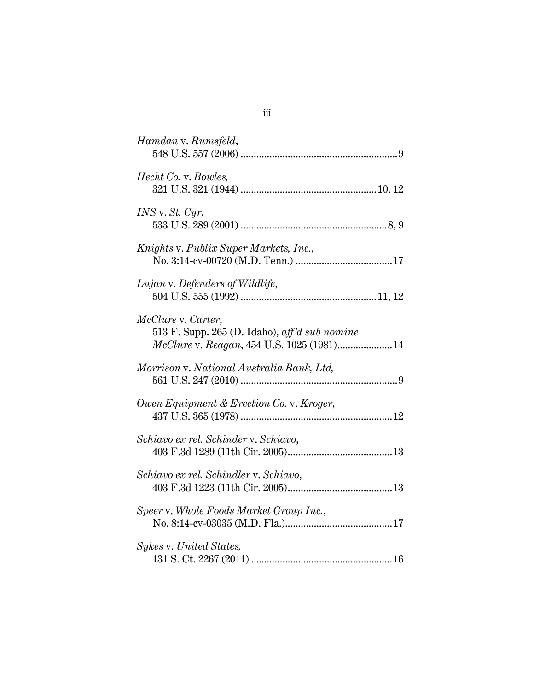| Hamdan v. Rumsfeld,                                                         |
|-----------------------------------------------------------------------------|
|                                                                             |
| <i>Hecht Co. v. Bowles,</i>                                                 |
|                                                                             |
|                                                                             |
| $INS$ v. St. Cyr,                                                           |
|                                                                             |
| Knights v. Publix Super Markets, Inc.,                                      |
|                                                                             |
| Lujan v. Defenders of Wildlife,                                             |
|                                                                             |
|                                                                             |
| McClure v. Carter,<br>513 F. Supp. 265 (D. Idaho), $\alpha$ ff'd sub nomine |
| McClure v. Reagan, 454 U.S. 1025 (1981) 14                                  |
|                                                                             |
| Morrison v. National Australia Bank, Ltd,                                   |
|                                                                             |
| Owen Equipment & Erection Co. v. Kroger,                                    |
|                                                                             |
| Schiavo ex rel. Schinder v. Schiavo,                                        |
|                                                                             |
|                                                                             |
| Schiavo ex rel. Schindler v. Schiavo,                                       |
|                                                                             |
| Speer v. Whole Foods Market Group Inc.,                                     |
|                                                                             |
| Sykes v. United States,                                                     |
|                                                                             |
|                                                                             |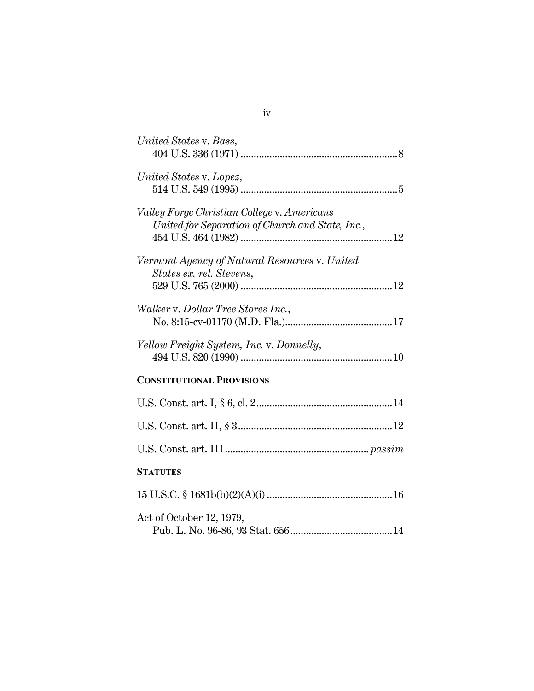| United States v. Bass,                                                                          |
|-------------------------------------------------------------------------------------------------|
| United States v. Lopez,                                                                         |
| Valley Forge Christian College v. Americans<br>United for Separation of Church and State, Inc., |
| Vermont Agency of Natural Resources v. United<br>States ex. rel. Stevens,                       |
| Walker v. Dollar Tree Stores Inc.,                                                              |
| Yellow Freight System, Inc. v. Donnelly,                                                        |
| <b>CONSTITUTIONAL PROVISIONS</b>                                                                |
|                                                                                                 |
|                                                                                                 |
|                                                                                                 |
| <b>STATUTES</b>                                                                                 |
|                                                                                                 |
| Act of October 12, 1979,                                                                        |

iv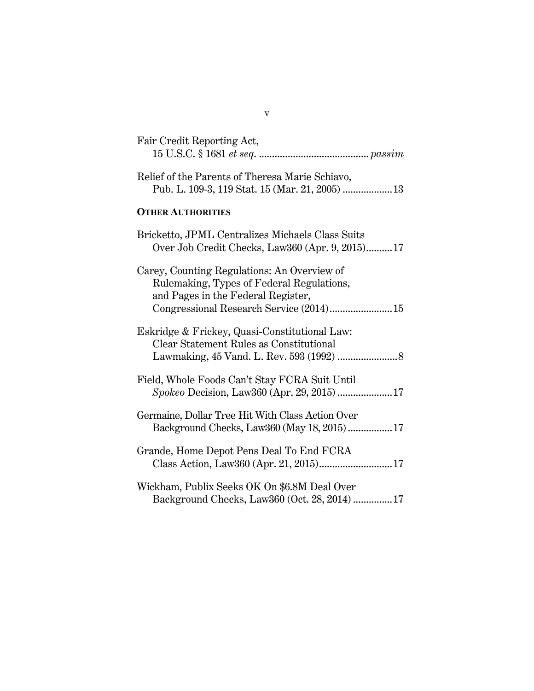| Fair Credit Reporting Act,                                                                                                                                                |
|---------------------------------------------------------------------------------------------------------------------------------------------------------------------------|
| Relief of the Parents of Theresa Marie Schiavo,<br>Pub. L. 109-3, 119 Stat. 15 (Mar. 21, 2005)  13                                                                        |
| <b>OTHER AUTHORITIES</b>                                                                                                                                                  |
| Bricketto, JPML Centralizes Michaels Class Suits<br>Over Job Credit Checks, Law360 (Apr. 9, 2015)17                                                                       |
| Carey, Counting Regulations: An Overview of<br>Rulemaking, Types of Federal Regulations,<br>and Pages in the Federal Register,<br>Congressional Research Service (2014)15 |
| Eskridge & Frickey, Quasi-Constitutional Law:<br>Clear Statement Rules as Constitutional                                                                                  |
| Field, Whole Foods Can't Stay FCRA Suit Until<br>Spokeo Decision, Law360 (Apr. 29, 2015)  17                                                                              |
| Germaine, Dollar Tree Hit With Class Action Over<br>Background Checks, Law360 (May 18, 2015)  17                                                                          |
| Grande, Home Depot Pens Deal To End FCRA<br>Class Action, Law360 (Apr. 21, 2015) 17                                                                                       |
| Wickham, Publix Seeks OK On \$6.8M Deal Over<br>Background Checks, Law360 (Oct. 28, 2014)  17                                                                             |

v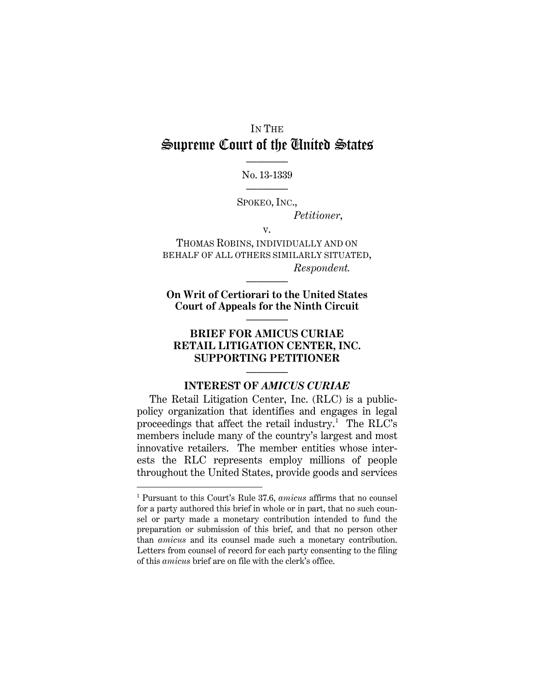# IN THE Supreme Court of the United States

———— No. 13-1339 ————

SPOKEO, INC.,

*Petitioner*,

v.

THOMAS ROBINS, INDIVIDUALLY AND ON BEHALF OF ALL OTHERS SIMILARLY SITUATED, *Respondent.*

**On Writ of Certiorari to the United States Court of Appeals for the Ninth Circuit**

————

————

## **BRIEF FOR AMICUS CURIAE RETAIL LITIGATION CENTER, INC. SUPPORTING PETITIONER**

## ———— **INTEREST OF** *AMICUS CURIAE*

The Retail Litigation Center, Inc. (RLC) is a publicpolicy organization that identifies and engages in legal proceedings that affect the retail industry.<sup>[1](#page-6-0)</sup> The RLC's members include many of the country's largest and most innovative retailers. The member entities whose interests the RLC represents employ millions of people throughout the United States, provide goods and services

<span id="page-6-0"></span><sup>1</sup> Pursuant to this Court's Rule 37.6, *amicus* affirms that no counsel for a party authored this brief in whole or in part, that no such counsel or party made a monetary contribution intended to fund the preparation or submission of this brief, and that no person other than *amicus* and its counsel made such a monetary contribution. Letters from counsel of record for each party consenting to the filing of this *amicus* brief are on file with the clerk's office.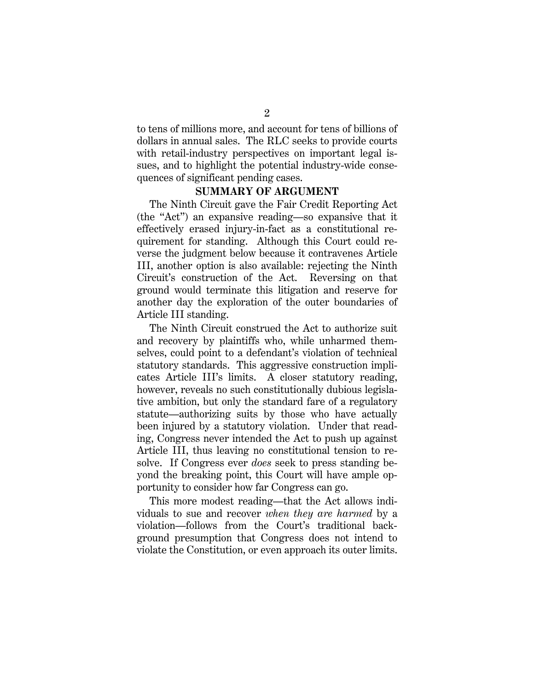to tens of millions more, and account for tens of billions of dollars in annual sales. The RLC seeks to provide courts with retail-industry perspectives on important legal issues, and to highlight the potential industry-wide consequences of significant pending cases.

#### **SUMMARY OF ARGUMENT**

The Ninth Circuit gave the Fair Credit Reporting Act (the "Act") an expansive reading—so expansive that it effectively erased injury-in-fact as a constitutional requirement for standing. Although this Court could reverse the judgment below because it contravenes Article III, another option is also available: rejecting the Ninth Circuit's construction of the Act. Reversing on that ground would terminate this litigation and reserve for another day the exploration of the outer boundaries of Article III standing.

The Ninth Circuit construed the Act to authorize suit and recovery by plaintiffs who, while unharmed themselves, could point to a defendant's violation of technical statutory standards. This aggressive construction implicates Article III's limits. A closer statutory reading, however, reveals no such constitutionally dubious legislative ambition, but only the standard fare of a regulatory statute—authorizing suits by those who have actually been injured by a statutory violation. Under that reading, Congress never intended the Act to push up against Article III, thus leaving no constitutional tension to resolve. If Congress ever *does* seek to press standing beyond the breaking point, this Court will have ample opportunity to consider how far Congress can go.

This more modest reading—that the Act allows individuals to sue and recover *when they are harmed* by a violation—follows from the Court's traditional background presumption that Congress does not intend to violate the Constitution, or even approach its outer limits.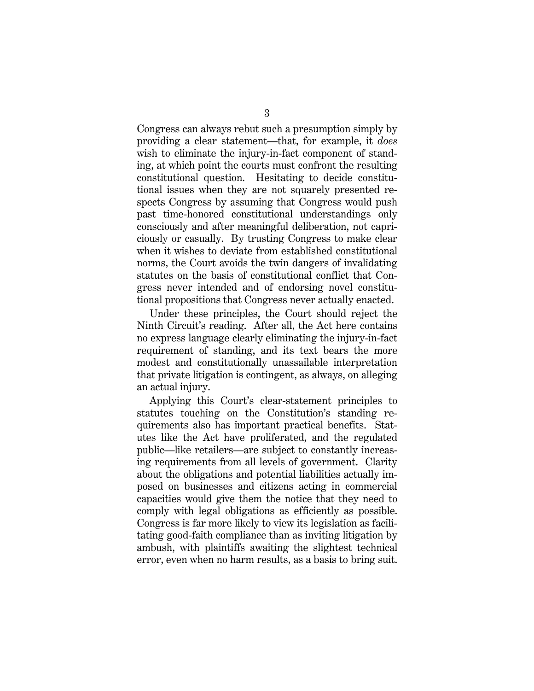Congress can always rebut such a presumption simply by providing a clear statement—that, for example, it *does* wish to eliminate the injury-in-fact component of standing, at which point the courts must confront the resulting constitutional question. Hesitating to decide constitutional issues when they are not squarely presented respects Congress by assuming that Congress would push past time-honored constitutional understandings only consciously and after meaningful deliberation, not capriciously or casually. By trusting Congress to make clear when it wishes to deviate from established constitutional norms, the Court avoids the twin dangers of invalidating statutes on the basis of constitutional conflict that Congress never intended and of endorsing novel constitutional propositions that Congress never actually enacted.

Under these principles, the Court should reject the Ninth Circuit's reading. After all, the Act here contains no express language clearly eliminating the injury-in-fact requirement of standing, and its text bears the more modest and constitutionally unassailable interpretation that private litigation is contingent, as always, on alleging an actual injury.

Applying this Court's clear-statement principles to statutes touching on the Constitution's standing requirements also has important practical benefits. Statutes like the Act have proliferated, and the regulated public—like retailers—are subject to constantly increasing requirements from all levels of government. Clarity about the obligations and potential liabilities actually imposed on businesses and citizens acting in commercial capacities would give them the notice that they need to comply with legal obligations as efficiently as possible. Congress is far more likely to view its legislation as facilitating good-faith compliance than as inviting litigation by ambush, with plaintiffs awaiting the slightest technical error, even when no harm results, as a basis to bring suit.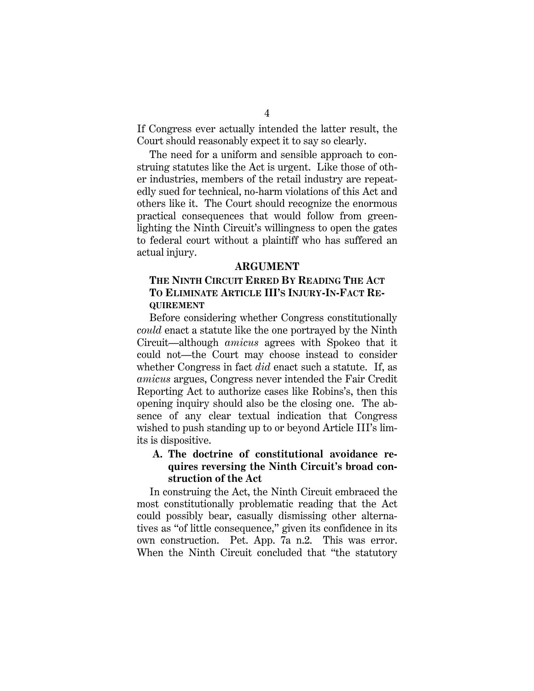If Congress ever actually intended the latter result, the Court should reasonably expect it to say so clearly.

The need for a uniform and sensible approach to construing statutes like the Act is urgent. Like those of other industries, members of the retail industry are repeatedly sued for technical, no-harm violations of this Act and others like it. The Court should recognize the enormous practical consequences that would follow from greenlighting the Ninth Circuit's willingness to open the gates to federal court without a plaintiff who has suffered an actual injury.

#### **ARGUMENT**

### **THE NINTH CIRCUIT ERRED BY READING THE ACT TO ELIMINATE ARTICLE III'S INJURY-IN-FACT RE-QUIREMENT**

Before considering whether Congress constitutionally *could* enact a statute like the one portrayed by the Ninth Circuit—although *amicus* agrees with Spokeo that it could not—the Court may choose instead to consider whether Congress in fact *did* enact such a statute. If, as *amicus* argues, Congress never intended the Fair Credit Reporting Act to authorize cases like Robins's, then this opening inquiry should also be the closing one. The absence of any clear textual indication that Congress wished to push standing up to or beyond Article III's limits is dispositive.

### **A. The doctrine of constitutional avoidance requires reversing the Ninth Circuit's broad construction of the Act**

In construing the Act, the Ninth Circuit embraced the most constitutionally problematic reading that the Act could possibly bear, casually dismissing other alternatives as "of little consequence," given its confidence in its own construction. Pet. App. 7a n.2. This was error. When the Ninth Circuit concluded that "the statutory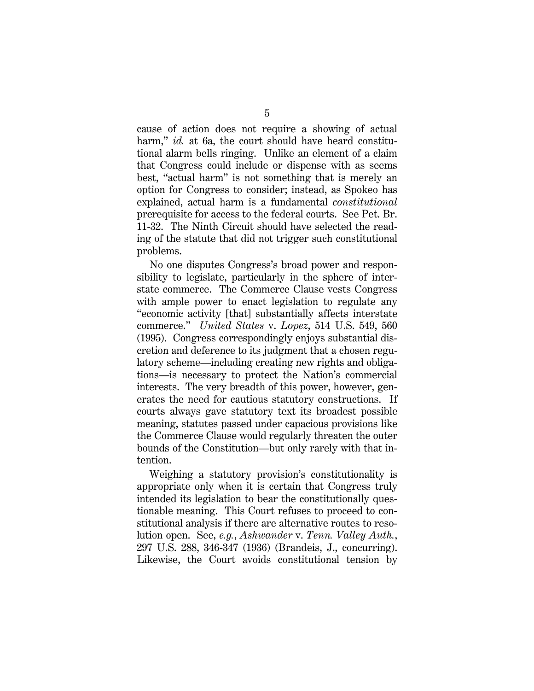cause of action does not require a showing of actual harm," *id.* at 6a, the court should have heard constitutional alarm bells ringing. Unlike an element of a claim that Congress could include or dispense with as seems best, "actual harm" is not something that is merely an option for Congress to consider; instead, as Spokeo has explained, actual harm is a fundamental *constitutional* prerequisite for access to the federal courts. See Pet. Br. 11-32. The Ninth Circuit should have selected the reading of the statute that did not trigger such constitutional problems.

No one disputes Congress's broad power and responsibility to legislate, particularly in the sphere of interstate commerce. The Commerce Clause vests Congress with ample power to enact legislation to regulate any "economic activity [that] substantially affects interstate commerce." *United States* v. *Lopez*, 514 U.S. 549, 560 (1995). Congress correspondingly enjoys substantial discretion and deference to its judgment that a chosen regulatory scheme—including creating new rights and obligations—is necessary to protect the Nation's commercial interests. The very breadth of this power, however, generates the need for cautious statutory constructions. If courts always gave statutory text its broadest possible meaning, statutes passed under capacious provisions like the Commerce Clause would regularly threaten the outer bounds of the Constitution—but only rarely with that intention.

Weighing a statutory provision's constitutionality is appropriate only when it is certain that Congress truly intended its legislation to bear the constitutionally questionable meaning. This Court refuses to proceed to constitutional analysis if there are alternative routes to resolution open. See, *e.g.*, *Ashwander* v. *Tenn. Valley Auth.*, 297 U.S. 288, 346-347 (1936) (Brandeis, J., concurring). Likewise, the Court avoids constitutional tension by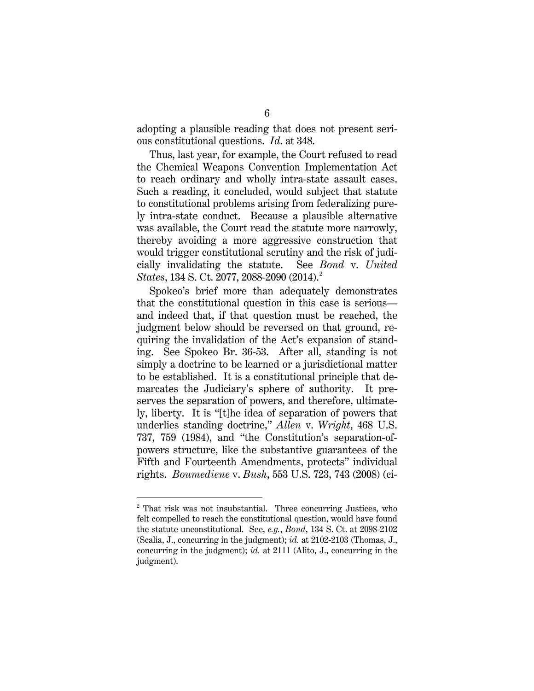adopting a plausible reading that does not present serious constitutional questions. *Id*. at 348.

Thus, last year, for example, the Court refused to read the Chemical Weapons Convention Implementation Act to reach ordinary and wholly intra-state assault cases. Such a reading, it concluded, would subject that statute to constitutional problems arising from federalizing purely intra-state conduct. Because a plausible alternative was available, the Court read the statute more narrowly, thereby avoiding a more aggressive construction that would trigger constitutional scrutiny and the risk of judicially invalidating the statute. See *Bond* v. *United States*, 134 S. Ct. [2](#page-11-0)077, 2088-2090 (2014).<sup>2</sup>

Spokeo's brief more than adequately demonstrates that the constitutional question in this case is serious and indeed that, if that question must be reached, the judgment below should be reversed on that ground, requiring the invalidation of the Act's expansion of standing. See Spokeo Br. 36-53. After all, standing is not simply a doctrine to be learned or a jurisdictional matter to be established. It is a constitutional principle that demarcates the Judiciary's sphere of authority. It preserves the separation of powers, and therefore, ultimately, liberty. It is "[t]he idea of separation of powers that underlies standing doctrine," *Allen* v. *Wright*, 468 U.S. 737, 759 (1984), and "the Constitution's separation-ofpowers structure, like the substantive guarantees of the Fifth and Fourteenth Amendments, protects" individual rights. *Boumediene* v. *Bush*, 553 U.S. 723, 743 (2008) (ci-

<span id="page-11-0"></span><sup>&</sup>lt;sup>2</sup> That risk was not insubstantial. Three concurring Justices, who felt compelled to reach the constitutional question, would have found the statute unconstitutional. See, *e.g.*, *Bond*, 134 S. Ct. at 2098-2102 (Scalia, J., concurring in the judgment); *id.* at 2102-2103 (Thomas, J., concurring in the judgment); *id.* at 2111 (Alito, J., concurring in the judgment).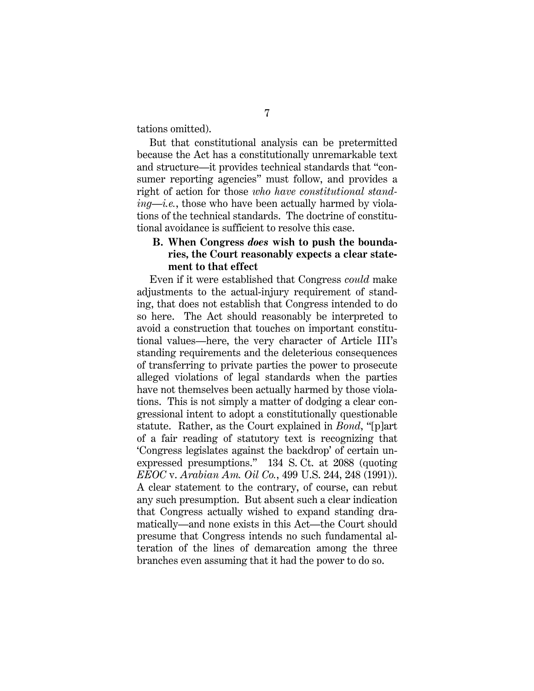tations omitted).

But that constitutional analysis can be pretermitted because the Act has a constitutionally unremarkable text and structure—it provides technical standards that "consumer reporting agencies" must follow, and provides a right of action for those *who have constitutional standing*—*i.e.*, those who have been actually harmed by violations of the technical standards. The doctrine of constitutional avoidance is sufficient to resolve this case.

#### **B. When Congress** *does* **wish to push the boundaries, the Court reasonably expects a clear statement to that effect**

Even if it were established that Congress *could* make adjustments to the actual-injury requirement of standing, that does not establish that Congress intended to do so here. The Act should reasonably be interpreted to avoid a construction that touches on important constitutional values—here, the very character of Article III's standing requirements and the deleterious consequences of transferring to private parties the power to prosecute alleged violations of legal standards when the parties have not themselves been actually harmed by those violations. This is not simply a matter of dodging a clear congressional intent to adopt a constitutionally questionable statute. Rather, as the Court explained in *Bond*, "[p]art of a fair reading of statutory text is recognizing that 'Congress legislates against the backdrop' of certain unexpressed presumptions." 134 S. Ct. at 2088 (quoting *EEOC* v. *Arabian Am. Oil Co.*, 499 U.S. 244, 248 (1991)). A clear statement to the contrary, of course, can rebut any such presumption. But absent such a clear indication that Congress actually wished to expand standing dramatically—and none exists in this Act—the Court should presume that Congress intends no such fundamental alteration of the lines of demarcation among the three branches even assuming that it had the power to do so.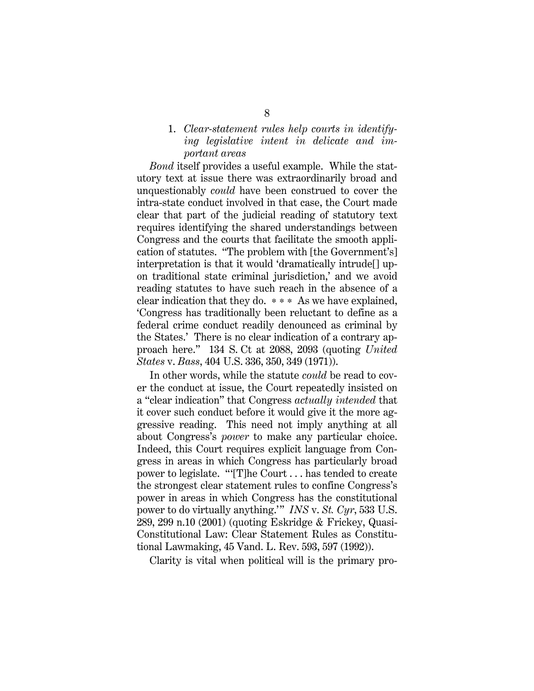#### 1. *Clear-statement rules help courts in identifying legislative intent in delicate and important areas*

*Bond* itself provides a useful example. While the statutory text at issue there was extraordinarily broad and unquestionably *could* have been construed to cover the intra-state conduct involved in that case, the Court made clear that part of the judicial reading of statutory text requires identifying the shared understandings between Congress and the courts that facilitate the smooth application of statutes. "The problem with [the Government's] interpretation is that it would 'dramatically intrude[] upon traditional state criminal jurisdiction,' and we avoid reading statutes to have such reach in the absence of a clear indication that they do. \* \* \* As we have explained, 'Congress has traditionally been reluctant to define as a federal crime conduct readily denounced as criminal by the States.' There is no clear indication of a contrary approach here." 134 S. Ct at 2088, 2093 (quoting *United States* v. *Bass*, 404 U.S. 336, 350, 349 (1971)).

In other words, while the statute *could* be read to cover the conduct at issue, the Court repeatedly insisted on a "clear indication" that Congress *actually intended* that it cover such conduct before it would give it the more aggressive reading. This need not imply anything at all about Congress's *power* to make any particular choice. Indeed, this Court requires explicit language from Congress in areas in which Congress has particularly broad power to legislate. "'[T]he Court . . . has tended to create the strongest clear statement rules to confine Congress's power in areas in which Congress has the constitutional power to do virtually anything.'" *INS* v. *St. Cyr*, 533 U.S. 289, 299 n.10 (2001) (quoting Eskridge & Frickey, Quasi-Constitutional Law: Clear Statement Rules as Constitutional Lawmaking, 45 Vand. L. Rev. 593, 597 (1992)).

Clarity is vital when political will is the primary pro-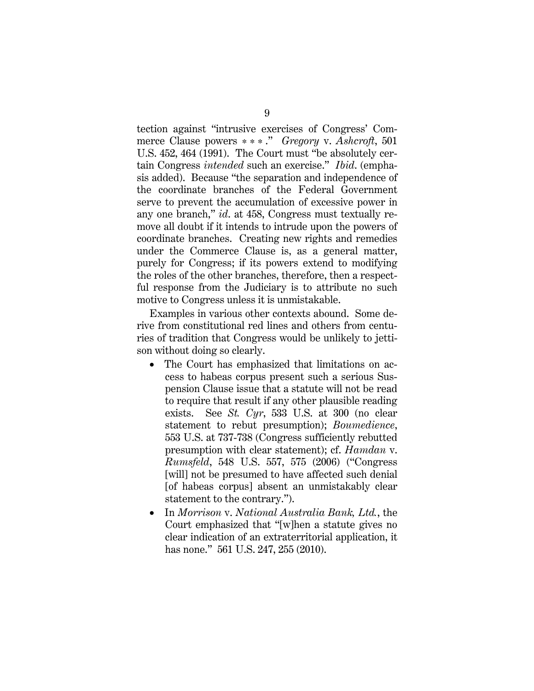tection against "intrusive exercises of Congress' Commerce Clause powers \*\*\* ." *Gregory* v. *Ashcroft*, 501 U.S. 452, 464 (1991). The Court must "be absolutely certain Congress *intended* such an exercise." *Ibid*. (emphasis added). Because "the separation and independence of the coordinate branches of the Federal Government serve to prevent the accumulation of excessive power in any one branch," *id*. at 458, Congress must textually remove all doubt if it intends to intrude upon the powers of coordinate branches. Creating new rights and remedies under the Commerce Clause is, as a general matter, purely for Congress; if its powers extend to modifying the roles of the other branches, therefore, then a respectful response from the Judiciary is to attribute no such motive to Congress unless it is unmistakable.

Examples in various other contexts abound. Some derive from constitutional red lines and others from centuries of tradition that Congress would be unlikely to jettison without doing so clearly.

- The Court has emphasized that limitations on access to habeas corpus present such a serious Suspension Clause issue that a statute will not be read to require that result if any other plausible reading exists. See *St. Cyr*, 533 U.S. at 300 (no clear statement to rebut presumption); *Boumedience*, 553 U.S. at 737-738 (Congress sufficiently rebutted presumption with clear statement); cf. *Hamdan* v. *Rumsfeld*, 548 U.S. 557, 575 (2006) ("Congress [will] not be presumed to have affected such denial [of habeas corpus] absent an unmistakably clear statement to the contrary.").
- In *Morrison* v. *National Australia Bank, Ltd.*, the Court emphasized that "[w]hen a statute gives no clear indication of an extraterritorial application, it has none." 561 U.S. 247, 255 (2010).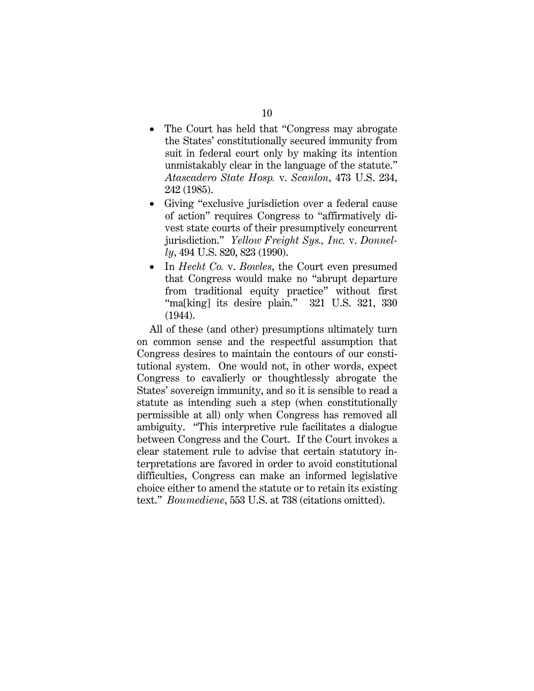- The Court has held that "Congress may abrogate the States' constitutionally secured immunity from suit in federal court only by making its intention unmistakably clear in the language of the statute." *Atascadero State Hosp.* v. *Scanlon*, 473 U.S. 234, 242 (1985).
- Giving "exclusive jurisdiction over a federal cause of action" requires Congress to "affirmatively divest state courts of their presumptively concurrent jurisdiction." *Yellow Freight Sys., Inc.* v. *Donnelly*, 494 U.S. 820, 823 (1990).
- In *Hecht Co.* v. *Bowles*, the Court even presumed that Congress would make no "abrupt departure from traditional equity practice" without first "ma[king] its desire plain." 321 U.S. 321, 330 (1944).

All of these (and other) presumptions ultimately turn on common sense and the respectful assumption that Congress desires to maintain the contours of our constitutional system. One would not, in other words, expect Congress to cavalierly or thoughtlessly abrogate the States' sovereign immunity, and so it is sensible to read a statute as intending such a step (when constitutionally permissible at all) only when Congress has removed all ambiguity. "This interpretive rule facilitates a dialogue between Congress and the Court. If the Court invokes a clear statement rule to advise that certain statutory interpretations are favored in order to avoid constitutional difficulties, Congress can make an informed legislative choice either to amend the statute or to retain its existing text." *Boumediene*, 553 U.S. at 738 (citations omitted).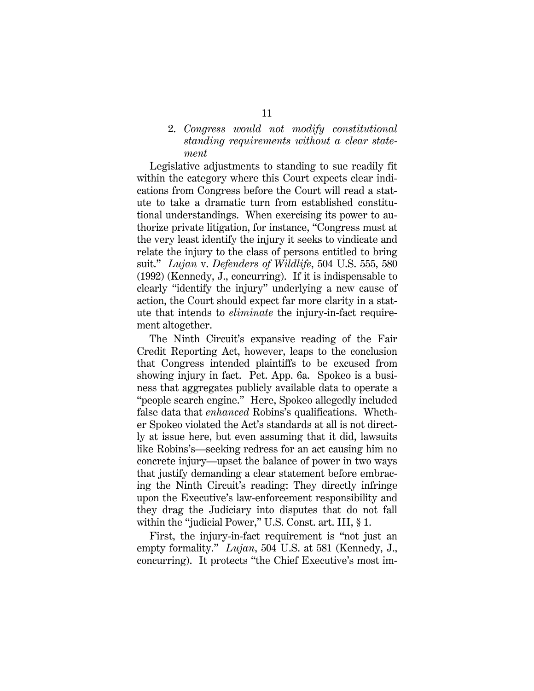#### 2. *Congress would not modify constitutional standing requirements without a clear statement*

Legislative adjustments to standing to sue readily fit within the category where this Court expects clear indications from Congress before the Court will read a statute to take a dramatic turn from established constitutional understandings. When exercising its power to authorize private litigation, for instance, "Congress must at the very least identify the injury it seeks to vindicate and relate the injury to the class of persons entitled to bring suit." *Lujan* v. *Defenders of Wildlife*, 504 U.S. 555, 580 (1992) (Kennedy, J., concurring). If it is indispensable to clearly "identify the injury" underlying a new cause of action, the Court should expect far more clarity in a statute that intends to *eliminate* the injury-in-fact requirement altogether.

The Ninth Circuit's expansive reading of the Fair Credit Reporting Act, however, leaps to the conclusion that Congress intended plaintiffs to be excused from showing injury in fact. Pet. App. 6a. Spokeo is a business that aggregates publicly available data to operate a "people search engine." Here, Spokeo allegedly included false data that *enhanced* Robins's qualifications. Whether Spokeo violated the Act's standards at all is not directly at issue here, but even assuming that it did, lawsuits like Robins's—seeking redress for an act causing him no concrete injury—upset the balance of power in two ways that justify demanding a clear statement before embracing the Ninth Circuit's reading: They directly infringe upon the Executive's law-enforcement responsibility and they drag the Judiciary into disputes that do not fall within the "judicial Power," U.S. Const. art. III, § 1.

First, the injury-in-fact requirement is "not just an empty formality." *Lujan*, 504 U.S. at 581 (Kennedy, J., concurring). It protects "the Chief Executive's most im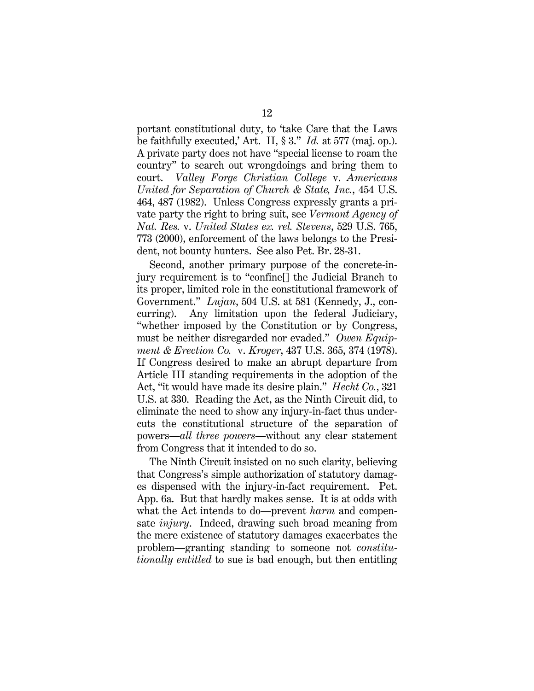portant constitutional duty, to 'take Care that the Laws be faithfully executed,' Art. II, § 3." *Id.* at 577 (maj. op.). A private party does not have "special license to roam the country" to search out wrongdoings and bring them to court. *Valley Forge Christian College* v. *Americans United for Separation of Church & State, Inc.*, 454 U.S. 464, 487 (1982). Unless Congress expressly grants a private party the right to bring suit, see *Vermont Agency of Nat. Res.* v. *United States ex. rel. Stevens*, 529 U.S. 765, 773 (2000), enforcement of the laws belongs to the President, not bounty hunters. See also Pet. Br. 28-31.

Second, another primary purpose of the concrete-injury requirement is to "confine[] the Judicial Branch to its proper, limited role in the constitutional framework of Government." *Lujan*, 504 U.S. at 581 (Kennedy, J., concurring). Any limitation upon the federal Judiciary, "whether imposed by the Constitution or by Congress, must be neither disregarded nor evaded." *Owen Equipment & Erection Co.* v. *Kroger*, 437 U.S. 365, 374 (1978). If Congress desired to make an abrupt departure from Article III standing requirements in the adoption of the Act, "it would have made its desire plain." *Hecht Co.*, 321 U.S. at 330. Reading the Act, as the Ninth Circuit did, to eliminate the need to show any injury-in-fact thus undercuts the constitutional structure of the separation of powers—*all three powers*—without any clear statement from Congress that it intended to do so.

The Ninth Circuit insisted on no such clarity, believing that Congress's simple authorization of statutory damages dispensed with the injury-in-fact requirement. Pet. App. 6a. But that hardly makes sense. It is at odds with what the Act intends to do—prevent *harm* and compensate *injury*. Indeed, drawing such broad meaning from the mere existence of statutory damages exacerbates the problem—granting standing to someone not *constitutionally entitled* to sue is bad enough, but then entitling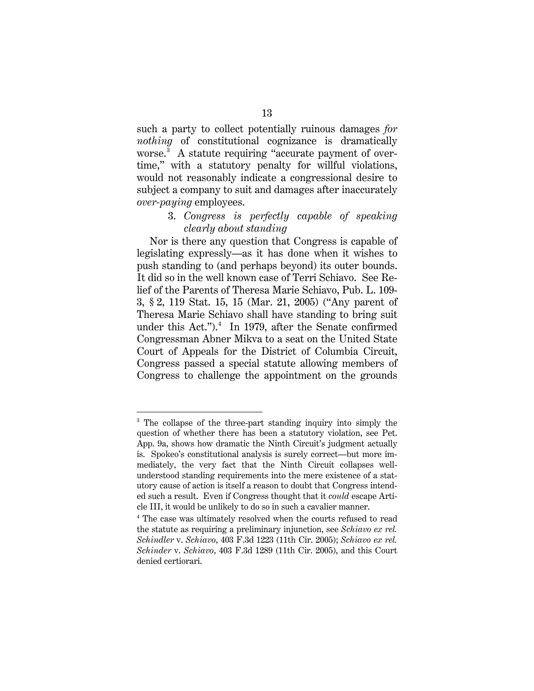such a party to collect potentially ruinous damages *for nothing* of constitutional cognizance is dramatically worse.[3](#page-18-0) A statute requiring "accurate payment of overtime," with a statutory penalty for willful violations, would not reasonably indicate a congressional desire to subject a company to suit and damages after inaccurately *over-paying* employees.

#### 3. *Congress is perfectly capable of speaking clearly about standing*

Nor is there any question that Congress is capable of legislating expressly—as it has done when it wishes to push standing to (and perhaps beyond) its outer bounds. It did so in the well known case of Terri Schiavo. See Relief of the Parents of Theresa Marie Schiavo, Pub. L. 109- 3, § 2, 119 Stat. 15, 15 (Mar. 21, 2005) ("Any parent of Theresa Marie Schiavo shall have standing to bring suit under this Act.").<sup>[4](#page-18-1)</sup> In 1979, after the Senate confirmed Congressman Abner Mikva to a seat on the United State Court of Appeals for the District of Columbia Circuit, Congress passed a special statute allowing members of Congress to challenge the appointment on the grounds

<span id="page-18-0"></span><sup>&</sup>lt;sup>3</sup> The collapse of the three-part standing inquiry into simply the question of whether there has been a statutory violation, see Pet. App. 9a, shows how dramatic the Ninth Circuit's judgment actually is. Spokeo's constitutional analysis is surely correct—but more immediately, the very fact that the Ninth Circuit collapses wellunderstood standing requirements into the mere existence of a statutory cause of action is itself a reason to doubt that Congress intended such a result. Even if Congress thought that it *could* escape Article III, it would be unlikely to do so in such a cavalier manner.

<span id="page-18-1"></span><sup>4</sup> The case was ultimately resolved when the courts refused to read the statute as requiring a preliminary injunction, see *Schiavo ex rel. Schindler* v. *Schiavo*, 403 F.3d 1223 (11th Cir. 2005); *Schiavo ex rel. Schinder* v. *Schiavo*, 403 F.3d 1289 (11th Cir. 2005), and this Court denied certiorari.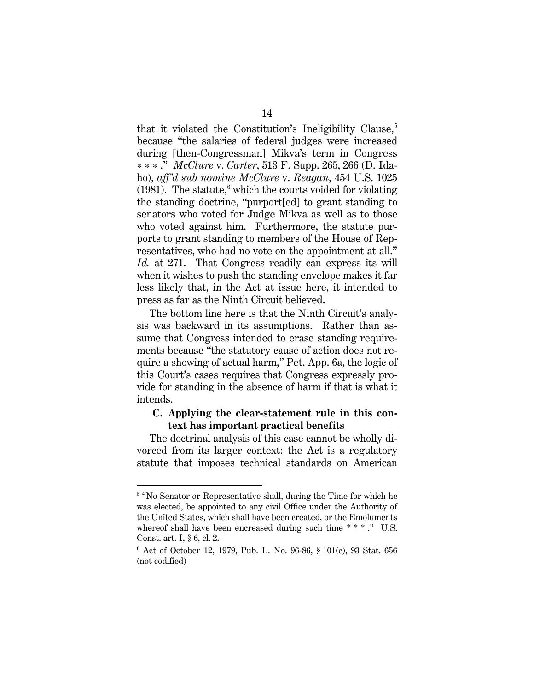that it violated the Constitution's Ineligibility Clause, $5$ because "the salaries of federal judges were increased during [then-Congressman] Mikva's term in Congress \*\*\* ." *McClure* v. *Carter*, 513 F. Supp. 265, 266 (D. Idaho), *aff'd sub nomine McClure* v. *Reagan*, 454 U.S. 1025 (1981). The statute, <sup>[6](#page-19-1)</sup> which the courts voided for violating the standing doctrine, "purport[ed] to grant standing to senators who voted for Judge Mikva as well as to those who voted against him. Furthermore, the statute purports to grant standing to members of the House of Representatives, who had no vote on the appointment at all." *Id.* at 271. That Congress readily can express its will when it wishes to push the standing envelope makes it far less likely that, in the Act at issue here, it intended to press as far as the Ninth Circuit believed.

The bottom line here is that the Ninth Circuit's analysis was backward in its assumptions. Rather than assume that Congress intended to erase standing requirements because "the statutory cause of action does not require a showing of actual harm," Pet. App. 6a, the logic of this Court's cases requires that Congress expressly provide for standing in the absence of harm if that is what it intends.

#### **C. Applying the clear-statement rule in this context has important practical benefits**

The doctrinal analysis of this case cannot be wholly divorced from its larger context: the Act is a regulatory statute that imposes technical standards on American

<span id="page-19-0"></span><sup>&</sup>lt;sup>5</sup> "No Senator or Representative shall, during the Time for which he was elected, be appointed to any civil Office under the Authority of the United States, which shall have been created, or the Emoluments whereof shall have been encreased during such time \*\*\*." U.S. Const. art. I, § 6, cl. 2.

<span id="page-19-1"></span> $6$  Act of October 12, 1979, Pub. L. No. 96-86, § 101 $(c)$ , 93 Stat. 656 (not codified)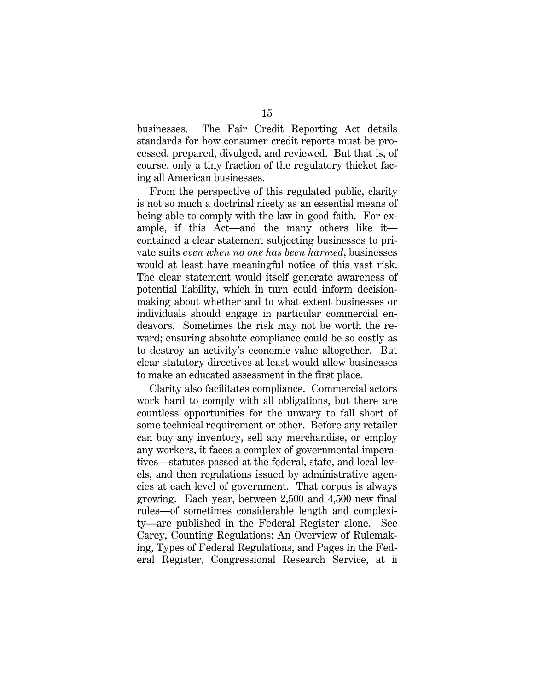businesses. The Fair Credit Reporting Act details standards for how consumer credit reports must be processed, prepared, divulged, and reviewed. But that is, of course, only a tiny fraction of the regulatory thicket facing all American businesses.

From the perspective of this regulated public, clarity is not so much a doctrinal nicety as an essential means of being able to comply with the law in good faith. For example, if this Act—and the many others like it contained a clear statement subjecting businesses to private suits *even when no one has been harmed*, businesses would at least have meaningful notice of this vast risk. The clear statement would itself generate awareness of potential liability, which in turn could inform decisionmaking about whether and to what extent businesses or individuals should engage in particular commercial endeavors. Sometimes the risk may not be worth the reward; ensuring absolute compliance could be so costly as to destroy an activity's economic value altogether. But clear statutory directives at least would allow businesses to make an educated assessment in the first place.

Clarity also facilitates compliance. Commercial actors work hard to comply with all obligations, but there are countless opportunities for the unwary to fall short of some technical requirement or other. Before any retailer can buy any inventory, sell any merchandise, or employ any workers, it faces a complex of governmental imperatives—statutes passed at the federal, state, and local levels, and then regulations issued by administrative agencies at each level of government. That corpus is always growing. Each year, between 2,500 and 4,500 new final rules—of sometimes considerable length and complexity—are published in the Federal Register alone. See Carey, Counting Regulations: An Overview of Rulemaking, Types of Federal Regulations, and Pages in the Federal Register, Congressional Research Service, at ii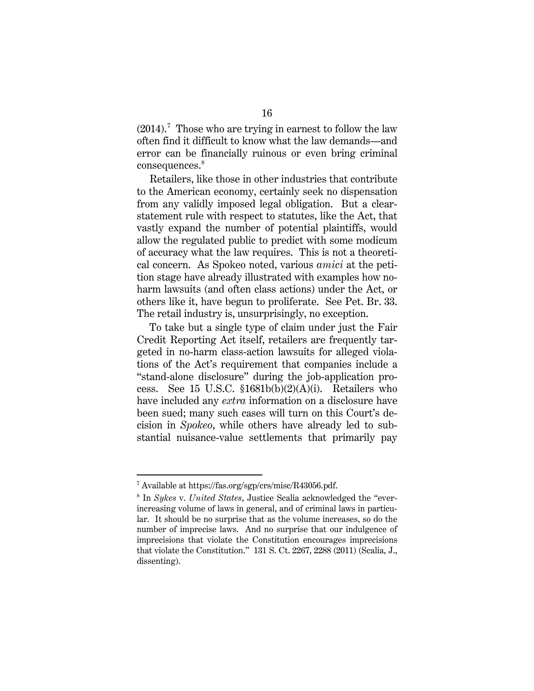$(2014).$ <sup>[7](#page-21-0)</sup> Those who are trying in earnest to follow the law often find it difficult to know what the law demands—and error can be financially ruinous or even bring criminal consequences.<sup>[8](#page-21-1)</sup>

Retailers, like those in other industries that contribute to the American economy, certainly seek no dispensation from any validly imposed legal obligation. But a clearstatement rule with respect to statutes, like the Act, that vastly expand the number of potential plaintiffs, would allow the regulated public to predict with some modicum of accuracy what the law requires. This is not a theoretical concern. As Spokeo noted, various *amici* at the petition stage have already illustrated with examples how noharm lawsuits (and often class actions) under the Act, or others like it, have begun to proliferate. See Pet. Br. 33. The retail industry is, unsurprisingly, no exception.

To take but a single type of claim under just the Fair Credit Reporting Act itself, retailers are frequently targeted in no-harm class-action lawsuits for alleged violations of the Act's requirement that companies include a "stand-alone disclosure" during the job-application process. See 15 U.S.C. §1681b(b)(2)(A)(i). Retailers who have included any *extra* information on a disclosure have been sued; many such cases will turn on this Court's decision in *Spokeo*, while others have already led to substantial nuisance-value settlements that primarily pay

<u>.</u>

<span id="page-21-0"></span><sup>7</sup> Available at https://fas.org/sgp/crs/misc/R43056.pdf.

<span id="page-21-1"></span><sup>8</sup> In *Sykes* v. *United States*, Justice Scalia acknowledged the "everincreasing volume of laws in general, and of criminal laws in particular. It should be no surprise that as the volume increases, so do the number of imprecise laws. And no surprise that our indulgence of imprecisions that violate the Constitution encourages imprecisions that violate the Constitution." 131 S. Ct. 2267, 2288 (2011) (Scalia, J., dissenting).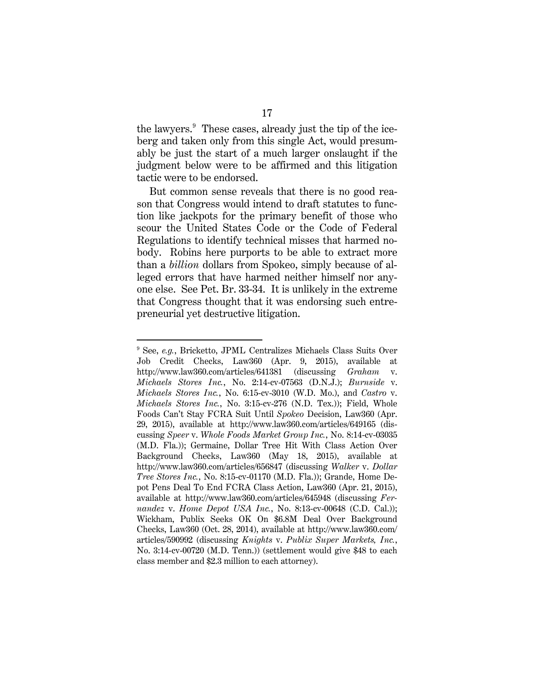the lawyers.<sup>[9](#page-22-0)</sup> These cases, already just the tip of the iceberg and taken only from this single Act, would presumably be just the start of a much larger onslaught if the judgment below were to be affirmed and this litigation tactic were to be endorsed.

But common sense reveals that there is no good reason that Congress would intend to draft statutes to function like jackpots for the primary benefit of those who scour the United States Code or the Code of Federal Regulations to identify technical misses that harmed nobody. Robins here purports to be able to extract more than a *billion* dollars from Spokeo, simply because of alleged errors that have harmed neither himself nor anyone else. See Pet. Br. 33-34. It is unlikely in the extreme that Congress thought that it was endorsing such entrepreneurial yet destructive litigation.

<span id="page-22-0"></span><sup>9</sup> See, *e.g.*, Bricketto, JPML Centralizes Michaels Class Suits Over Job Credit Checks, Law360 (Apr. 9, 2015), available at http://www.law360.com/articles/641381 (discussing *Graham* v. *Michaels Stores Inc.*, No. 2:14-cv-07563 (D.N.J.); *Burnside* v. *Michaels Stores Inc.*, No. 6:15-cv-3010 (W.D. Mo.), and *Castro* v. *Michaels Stores Inc.*, No. 3:15-cv-276 (N.D. Tex.)); Field, Whole Foods Can't Stay FCRA Suit Until *Spokeo* Decision, Law360 (Apr. 29, 2015), available at http://www.law360.com/articles/649165 (discussing *Speer* v. *Whole Foods Market Group Inc.*, No. 8:14-cv-03035 (M.D. Fla.)); Germaine, Dollar Tree Hit With Class Action Over Background Checks, Law360 (May 18, 2015), available at http://www.law360.com/articles/656847 (discussing *Walker* v. *Dollar Tree Stores Inc.*, No. 8:15-cv-01170 (M.D. Fla.)); Grande, Home Depot Pens Deal To End FCRA Class Action, Law360 (Apr. 21, 2015), available at http://www.law360.com/articles/645948 (discussing *Fernandez* v. *Home Depot USA Inc.*, No. 8:13-cv-00648 (C.D. Cal.)); Wickham, Publix Seeks OK On \$6.8M Deal Over Background Checks, Law360 (Oct. 28, 2014), available at http://www.law360.com/ articles/590992 (discussing *Knights* v. *Publix Super Markets, Inc.*, No. 3:14-cv-00720 (M.D. Tenn.)) (settlement would give \$48 to each class member and \$2.3 million to each attorney).